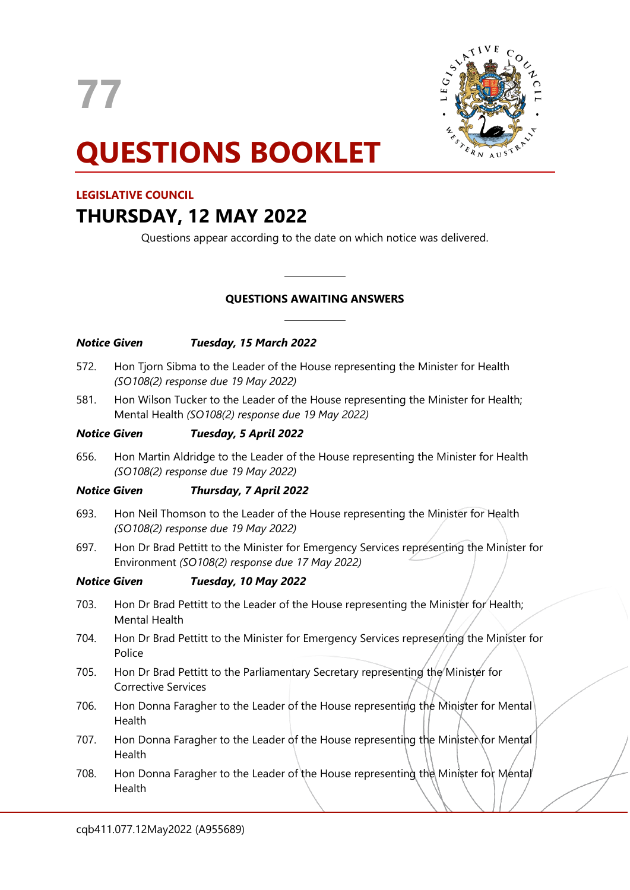**77**



# **QUESTIONS BOOKLET**

# **LEGISLATIVE COUNCIL**

# **THURSDAY, 12 MAY 2022**

Questions appear according to the date on which notice was delivered.

# **QUESTIONS AWAITING ANSWERS**

 $\overline{\phantom{a}}$ 

 $\overline{\phantom{a}}$ 

| Notice Given |                                                                                                                                             | Tuesday, 15 March 2022                                                                                                                  |
|--------------|---------------------------------------------------------------------------------------------------------------------------------------------|-----------------------------------------------------------------------------------------------------------------------------------------|
| 572.         | Hon Tjorn Sibma to the Leader of the House representing the Minister for Health<br>(SO108(2) response due 19 May 2022)                      |                                                                                                                                         |
| 581.         |                                                                                                                                             | Hon Wilson Tucker to the Leader of the House representing the Minister for Health;<br>Mental Health (SO108(2) response due 19 May 2022) |
| Notice Given |                                                                                                                                             | Tuesday, 5 April 2022                                                                                                                   |
| 656.         | Hon Martin Aldridge to the Leader of the House representing the Minister for Health<br>(SO108(2) response due 19 May 2022)                  |                                                                                                                                         |
| Notice Given |                                                                                                                                             | Thursday, 7 April 2022                                                                                                                  |
| 693.         | Hon Neil Thomson to the Leader of the House representing the Minister for Health<br>(SO108(2) response due 19 May 2022)                     |                                                                                                                                         |
| 697.         | Hon Dr Brad Pettitt to the Minister for Emergency Services representing the Minister for<br>Environment (SO108(2) response due 17 May 2022) |                                                                                                                                         |
| Notice Given |                                                                                                                                             | Tuesday, 10 May 2022                                                                                                                    |
| 703.         | Hon Dr Brad Pettitt to the Leader of the House representing the Minister for Health;<br><b>Mental Health</b>                                |                                                                                                                                         |
| 704.         | Hon Dr Brad Pettitt to the Minister for Emergency Services representing the Minister for<br>Police                                          |                                                                                                                                         |
| 705.         | Hon Dr Brad Pettitt to the Parliamentary Secretary representing the Minister for<br><b>Corrective Services</b>                              |                                                                                                                                         |
| 706.         | Hon Donna Faragher to the Leader of the House representing the Minister for Mental<br>Health                                                |                                                                                                                                         |
| 707.         | Hon Donna Faragher to the Leader of the House representing the Minister for Mental<br>Health                                                |                                                                                                                                         |
| 708.         | Hon Donna Faragher to the Leader of the House representing the Minister for Mental<br>Health                                                |                                                                                                                                         |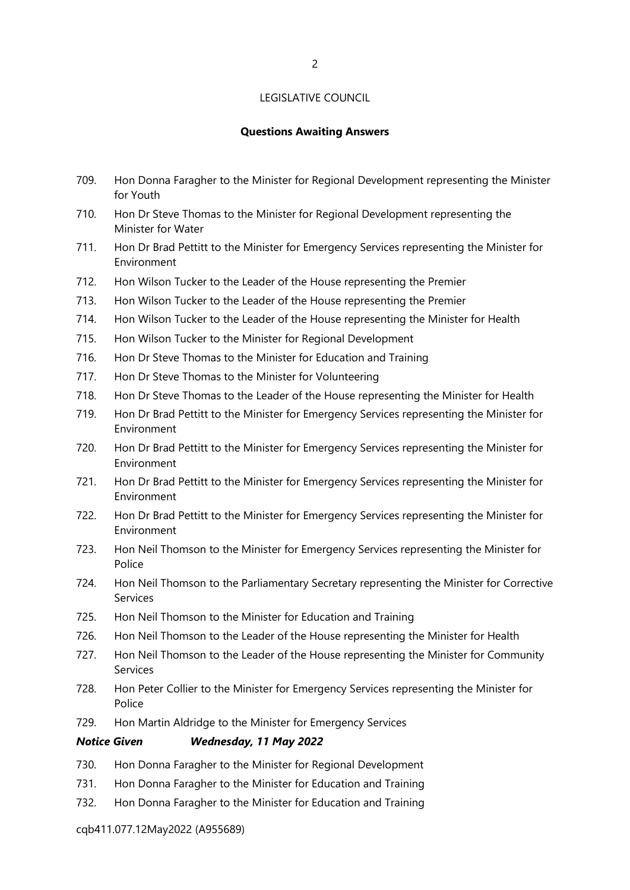# **Questions Awaiting Answers**

- 709. Hon Donna Faragher to the Minister for Regional Development representing the Minister for Youth
- 710. Hon Dr Steve Thomas to the Minister for Regional Development representing the Minister for Water
- 711. Hon Dr Brad Pettitt to the Minister for Emergency Services representing the Minister for Environment
- 712. Hon Wilson Tucker to the Leader of the House representing the Premier
- 713. Hon Wilson Tucker to the Leader of the House representing the Premier
- 714. Hon Wilson Tucker to the Leader of the House representing the Minister for Health
- 715. Hon Wilson Tucker to the Minister for Regional Development
- 716. Hon Dr Steve Thomas to the Minister for Education and Training
- 717. Hon Dr Steve Thomas to the Minister for Volunteering
- 718. Hon Dr Steve Thomas to the Leader of the House representing the Minister for Health
- 719. Hon Dr Brad Pettitt to the Minister for Emergency Services representing the Minister for Environment
- 720. Hon Dr Brad Pettitt to the Minister for Emergency Services representing the Minister for Environment
- 721. Hon Dr Brad Pettitt to the Minister for Emergency Services representing the Minister for Environment
- 722. Hon Dr Brad Pettitt to the Minister for Emergency Services representing the Minister for Environment
- 723. Hon Neil Thomson to the Minister for Emergency Services representing the Minister for Police
- 724. Hon Neil Thomson to the Parliamentary Secretary representing the Minister for Corrective Services
- 725. Hon Neil Thomson to the Minister for Education and Training
- 726. Hon Neil Thomson to the Leader of the House representing the Minister for Health
- 727. Hon Neil Thomson to the Leader of the House representing the Minister for Community Services
- 728. Hon Peter Collier to the Minister for Emergency Services representing the Minister for Police
- 729. Hon Martin Aldridge to the Minister for Emergency Services

## *Notice Given Wednesday, 11 May 2022*

- 730. Hon Donna Faragher to the Minister for Regional Development
- 731. Hon Donna Faragher to the Minister for Education and Training
- 732. Hon Donna Faragher to the Minister for Education and Training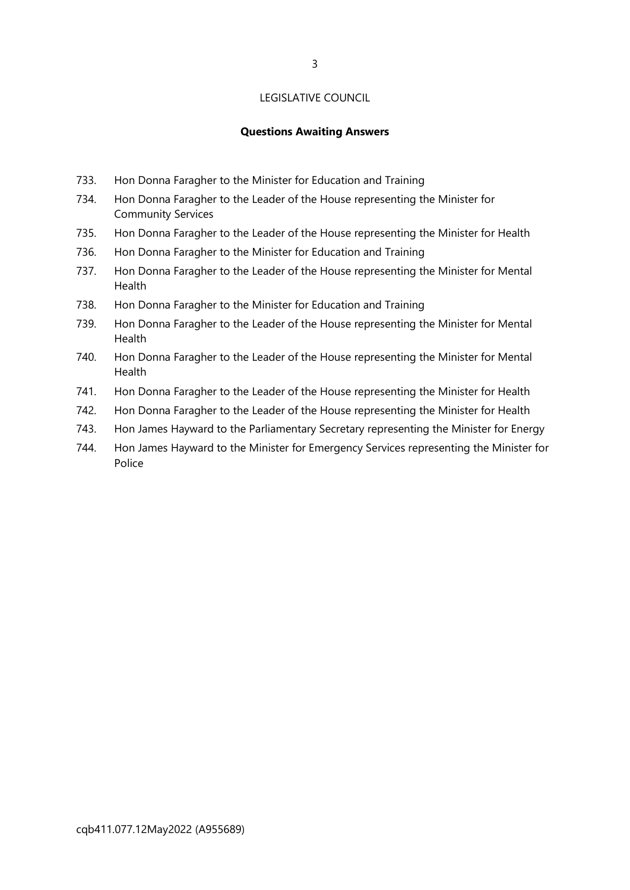# **Questions Awaiting Answers**

- 733. Hon Donna Faragher to the Minister for Education and Training
- 734. Hon Donna Faragher to the Leader of the House representing the Minister for Community Services
- 735. Hon Donna Faragher to the Leader of the House representing the Minister for Health
- 736. Hon Donna Faragher to the Minister for Education and Training
- 737. Hon Donna Faragher to the Leader of the House representing the Minister for Mental Health
- 738. Hon Donna Faragher to the Minister for Education and Training
- 739. Hon Donna Faragher to the Leader of the House representing the Minister for Mental Health
- 740. Hon Donna Faragher to the Leader of the House representing the Minister for Mental Health
- 741. Hon Donna Faragher to the Leader of the House representing the Minister for Health
- 742. Hon Donna Faragher to the Leader of the House representing the Minister for Health
- 743. Hon James Hayward to the Parliamentary Secretary representing the Minister for Energy
- 744. Hon James Hayward to the Minister for Emergency Services representing the Minister for Police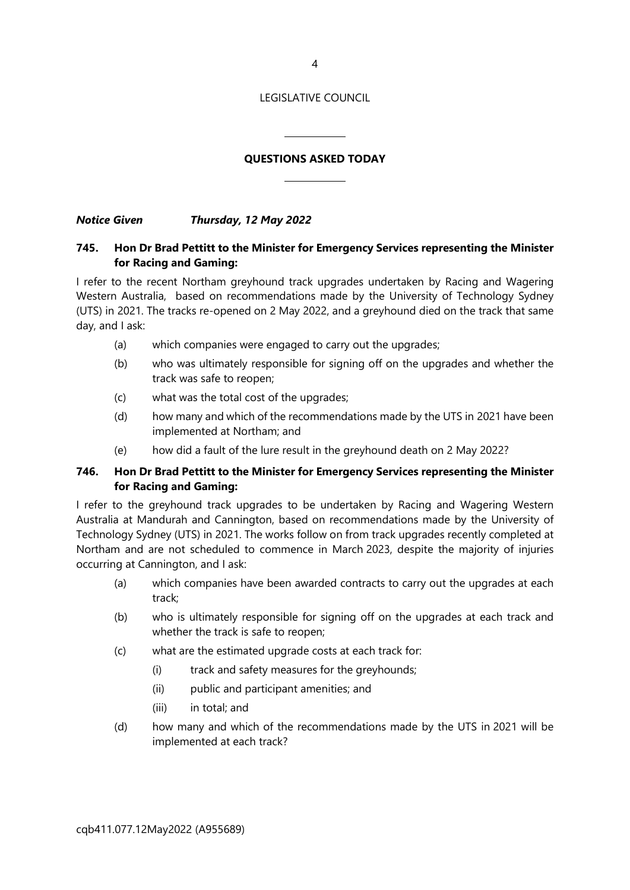4

### LEGISLATIVE COUNCIL

# **QUESTIONS ASKED TODAY**

 $\overline{a}$ 

 $\overline{\phantom{a}}$ 

*Notice Given Thursday, 12 May 2022*

# **745. Hon Dr Brad Pettitt to the Minister for Emergency Services representing the Minister for Racing and Gaming:**

I refer to the recent Northam greyhound track upgrades undertaken by Racing and Wagering Western Australia, based on recommendations made by the University of Technology Sydney (UTS) in 2021. The tracks re-opened on 2 May 2022, and a greyhound died on the track that same day, and I ask:

- (a) which companies were engaged to carry out the upgrades;
- (b) who was ultimately responsible for signing off on the upgrades and whether the track was safe to reopen;
- (c) what was the total cost of the upgrades;
- (d) how many and which of the recommendations made by the UTS in 2021 have been implemented at Northam; and
- (e) how did a fault of the lure result in the greyhound death on 2 May 2022?

# **746. Hon Dr Brad Pettitt to the Minister for Emergency Services representing the Minister for Racing and Gaming:**

I refer to the greyhound track upgrades to be undertaken by Racing and Wagering Western Australia at Mandurah and Cannington, based on recommendations made by the University of Technology Sydney (UTS) in 2021. The works follow on from track upgrades recently completed at Northam and are not scheduled to commence in March 2023, despite the majority of injuries occurring at Cannington, and I ask:

- (a) which companies have been awarded contracts to carry out the upgrades at each track;
- (b) who is ultimately responsible for signing off on the upgrades at each track and whether the track is safe to reopen;
- (c) what are the estimated upgrade costs at each track for:
	- (i) track and safety measures for the greyhounds;
	- (ii) public and participant amenities; and
	- (iii) in total; and
- (d) how many and which of the recommendations made by the UTS in 2021 will be implemented at each track?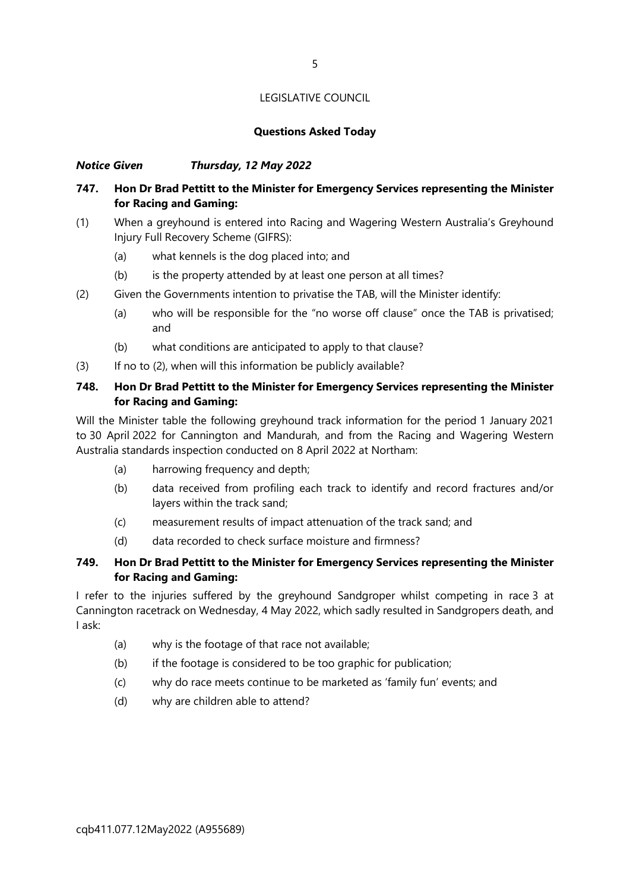## **Questions Asked Today**

# *Notice Given Thursday, 12 May 2022*

# **747. Hon Dr Brad Pettitt to the Minister for Emergency Services representing the Minister for Racing and Gaming:**

- (1) When a greyhound is entered into Racing and Wagering Western Australia's Greyhound Injury Full Recovery Scheme (GIFRS):
	- (a) what kennels is the dog placed into; and
	- (b) is the property attended by at least one person at all times?
- (2) Given the Governments intention to privatise the TAB, will the Minister identify:
	- (a) who will be responsible for the "no worse off clause" once the TAB is privatised; and
	- (b) what conditions are anticipated to apply to that clause?
- (3) If no to (2), when will this information be publicly available?

# **748. Hon Dr Brad Pettitt to the Minister for Emergency Services representing the Minister for Racing and Gaming:**

Will the Minister table the following greyhound track information for the period 1 January 2021 to 30 April 2022 for Cannington and Mandurah, and from the Racing and Wagering Western Australia standards inspection conducted on 8 April 2022 at Northam:

- (a) harrowing frequency and depth;
- (b) data received from profiling each track to identify and record fractures and/or layers within the track sand;
- (c) measurement results of impact attenuation of the track sand; and
- (d) data recorded to check surface moisture and firmness?

# **749. Hon Dr Brad Pettitt to the Minister for Emergency Services representing the Minister for Racing and Gaming:**

I refer to the injuries suffered by the greyhound Sandgroper whilst competing in race 3 at Cannington racetrack on Wednesday, 4 May 2022, which sadly resulted in Sandgropers death, and I ask:

- (a) why is the footage of that race not available;
- (b) if the footage is considered to be too graphic for publication;
- (c) why do race meets continue to be marketed as 'family fun' events; and
- (d) why are children able to attend?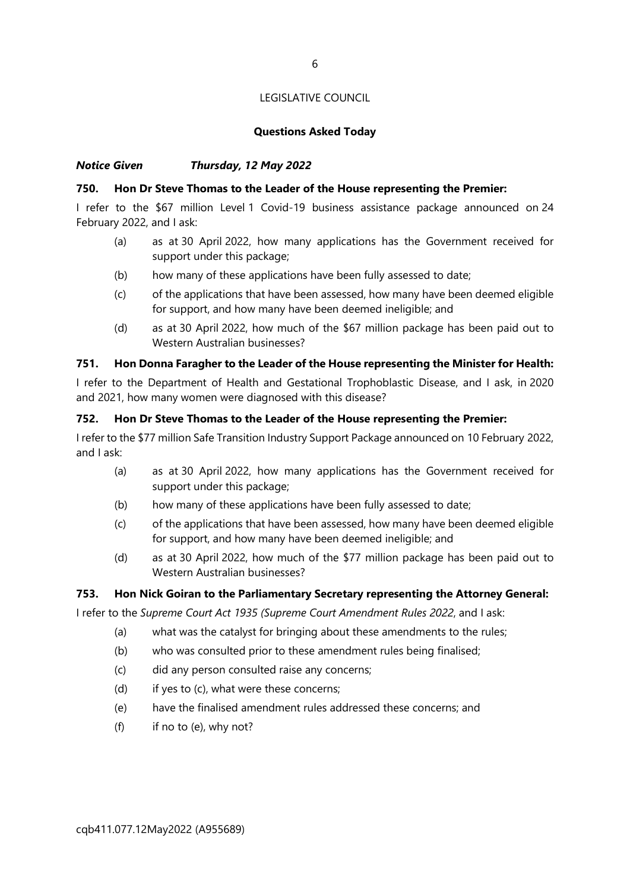## **Questions Asked Today**

# *Notice Given Thursday, 12 May 2022*

## **750. Hon Dr Steve Thomas to the Leader of the House representing the Premier:**

I refer to the \$67 million Level 1 Covid-19 business assistance package announced on 24 February 2022, and I ask:

- (a) as at 30 April 2022, how many applications has the Government received for support under this package;
- (b) how many of these applications have been fully assessed to date;
- (c) of the applications that have been assessed, how many have been deemed eligible for support, and how many have been deemed ineligible; and
- (d) as at 30 April 2022, how much of the \$67 million package has been paid out to Western Australian businesses?

#### **751. Hon Donna Faragher to the Leader of the House representing the Minister for Health:**

I refer to the Department of Health and Gestational Trophoblastic Disease, and I ask, in 2020 and 2021, how many women were diagnosed with this disease?

#### **752. Hon Dr Steve Thomas to the Leader of the House representing the Premier:**

I refer to the \$77 million Safe Transition Industry Support Package announced on 10 February 2022, and I ask:

- (a) as at 30 April 2022, how many applications has the Government received for support under this package;
- (b) how many of these applications have been fully assessed to date;
- (c) of the applications that have been assessed, how many have been deemed eligible for support, and how many have been deemed ineligible; and
- (d) as at 30 April 2022, how much of the \$77 million package has been paid out to Western Australian businesses?

#### **753. Hon Nick Goiran to the Parliamentary Secretary representing the Attorney General:**

I refer to the *Supreme Court Act 1935 (Supreme Court Amendment Rules 2022*, and I ask:

- (a) what was the catalyst for bringing about these amendments to the rules;
- (b) who was consulted prior to these amendment rules being finalised;
- (c) did any person consulted raise any concerns;
- (d) if yes to (c), what were these concerns;
- (e) have the finalised amendment rules addressed these concerns; and
- (f) if no to (e), why not?